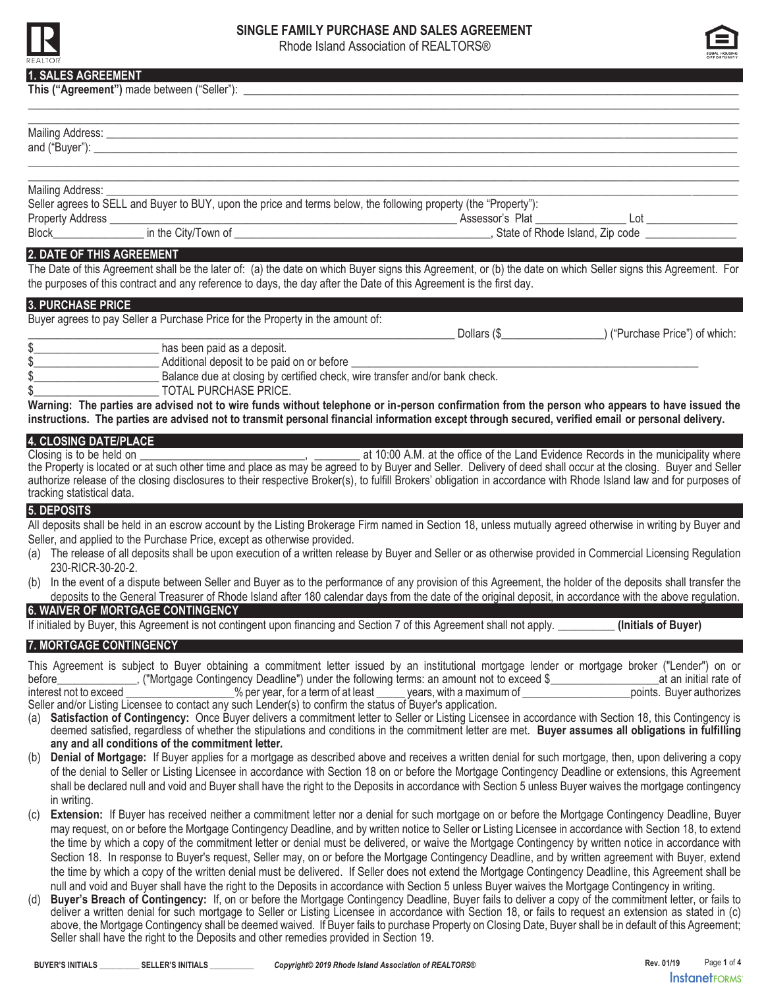

# **SINGLE FAMILY PURCHASE AND SALES AGREEMENT**

Rhode Island Association of REALTORS®



### **1. SALES AGREEMENT**

| <b>I. UNLLU NUNLLIVILIVI</b>                                                                                        |                                                                                                                                                                    |
|---------------------------------------------------------------------------------------------------------------------|--------------------------------------------------------------------------------------------------------------------------------------------------------------------|
|                                                                                                                     |                                                                                                                                                                    |
|                                                                                                                     |                                                                                                                                                                    |
|                                                                                                                     |                                                                                                                                                                    |
| Mailing Address:                                                                                                    |                                                                                                                                                                    |
| Seller agrees to SELL and Buyer to BUY, upon the price and terms below, the following property (the "Property"):    |                                                                                                                                                                    |
|                                                                                                                     |                                                                                                                                                                    |
|                                                                                                                     |                                                                                                                                                                    |
| 2. DATE OF THIS AGREEMENT                                                                                           |                                                                                                                                                                    |
| the purposes of this contract and any reference to days, the day after the Date of this Agreement is the first day. | The Date of this Agreement shall be the later of: (a) the date on which Buyer signs this Agreement, or (b) the date on which Seller signs this Agreement. For      |
|                                                                                                                     |                                                                                                                                                                    |
| 3. PURCHASE PRICE                                                                                                   |                                                                                                                                                                    |
| Buyer agrees to pay Seller a Purchase Price for the Property in the amount of:                                      |                                                                                                                                                                    |
| has been paid as a deposit.                                                                                         |                                                                                                                                                                    |
| Moditional deposit to be paid on or before                                                                          |                                                                                                                                                                    |
|                                                                                                                     |                                                                                                                                                                    |
| <b>TOTAL PURCHASE PRICE.</b>                                                                                        |                                                                                                                                                                    |
|                                                                                                                     | Warning: The parties are advised not to wire funds without telephone or in-person confirmation from the person who appears to have issued the                      |
|                                                                                                                     | instructions. The parties are advised not to transmit personal financial information except through secured, verified email or personal delivery.                  |
| 4. CLOSING DATE/PLACE                                                                                               |                                                                                                                                                                    |
|                                                                                                                     |                                                                                                                                                                    |
|                                                                                                                     | authorize release of the closing disclosures to their respective Broker(s), to fulfill Brokers' obligation in accordance with Rhode Island law and for purposes of |
| tracking statistical data.                                                                                          |                                                                                                                                                                    |
| 5. DEPOSITS                                                                                                         |                                                                                                                                                                    |
|                                                                                                                     | All deposits shall be held in an escrow account by the Listing Brokerage Firm named in Section 18, unless mutually agreed otherwise in writing by Buyer and        |
| Seller, and applied to the Purchase Price, except as otherwise provided.                                            |                                                                                                                                                                    |
| 230-RICR-30-20-2.                                                                                                   | (a) The release of all deposits shall be upon execution of a written release by Buyer and Seller or as otherwise provided in Commercial Licensing Regulation       |
|                                                                                                                     | (b) In the event of a dispute between Seller and Buyer as to the performance of any provision of this Agreement, the holder of the deposits shall transfer the     |
|                                                                                                                     | deposits to the General Treasurer of Rhode Island after 180 calendar days from the date of the original deposit, in accordance with the above regulation.          |
| <b>6. WAIVER OF MORTGAGE CONTINGENCY</b>                                                                            |                                                                                                                                                                    |
|                                                                                                                     | If initialed by Buyer, this Agreement is not contingent upon financing and Section 7 of this Agreement shall not apply. (Initials of Buyer)                        |
| 7. MORTGAGE CONTINGENCY                                                                                             |                                                                                                                                                                    |

This Agreement is subject to Buyer obtaining a commitment letter issued by an institutional mortgage lender or mortgage broker ("Lender") on or<br>before at an initial rate of ("Mortgage Contingency Deadline") under the follo before\_\_\_\_\_\_\_\_\_\_\_\_\_\_, ("Mortgage Contingency Deadline") under the following terms: an amount not to exceed \$\_\_\_\_\_\_\_\_\_\_\_\_\_\_\_\_\_\_\_at an initial rate of interest not to exceed \_\_\_\_\_\_\_\_\_\_\_\_\_\_\_\_\_\_\_\_\_\_\_% per year, for a term of at least \_\_\_\_\_\_ years, with a maximum of \_\_\_\_\_\_

Seller and/or Listing Licensee to contact any such Lender(s) to confirm the status of Buyer's application. (a) **Satisfaction of Contingency:** Once Buyer delivers a commitment letter to Seller or Listing Licensee in accordance with Section 18, this Contingency is

- deemed satisfied, regardless of whether the stipulations and conditions in the commitment letter are met. **Buyer assumes all obligations in fulfilling any and all conditions of the commitment letter.**
- (b) **Denial of Mortgage:** If Buyer applies for a mortgage as described above and receives a written denial for such mortgage, then, upon delivering a copy of the denial to Seller or Listing Licensee in accordance with Section 18 on or before the Mortgage Contingency Deadline or extensions, this Agreement shall be declared null and void and Buyer shall have the right to the Deposits in accordance with Section 5 unless Buyer waives the mortgage contingency in writing.
- (c) **Extension:** If Buyer has received neither a commitment letter nor a denial for such mortgage on or before the Mortgage Contingency Deadline, Buyer may request, on or before the Mortgage Contingency Deadline, and by written notice to Seller or Listing Licensee in accordance with Section 18, to extend the time by which a copy of the commitment letter or denial must be delivered, or waive the Mortgage Contingency by written notice in accordance with Section 18. In response to Buyer's request, Seller may, on or before the Mortgage Contingency Deadline, and by written agreement with Buyer, extend the time by which a copy of the written denial must be delivered. If Seller does not extend the Mortgage Contingency Deadline, this Agreement shall be null and void and Buyer shall have the right to the Deposits in accordance with Section 5 unless Buyer waives the Mortgage Contingency in writing.
- Buyer's Breach of Contingency: If, on or before the Mortgage Contingency Deadline, Buyer fails to deliver a copy of the commitment letter, or fails to deliver a written denial for such mortgage to Seller or Listing Licensee in accordance with Section 18, or fails to request an extension as stated in (c) above, the Mortgage Contingency shall be deemed waived. If Buyer fails to purchase Property on Closing Date, Buyer shall be in default of this Agreement; Seller shall have the right to the Deposits and other remedies provided in Section 19.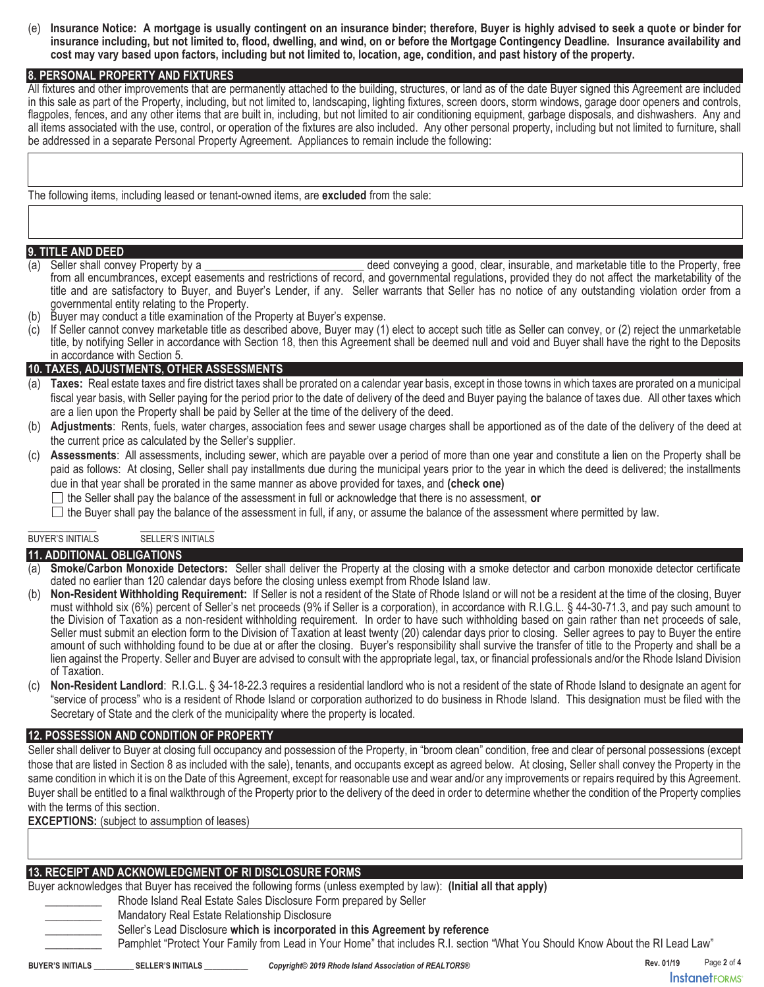(e) **Insurance Notice: A mortgage is usually contingent on an insurance binder; therefore, Buyer is highly advised to seek a quote or binder for insurance including, but not limited to, flood, dwelling, and wind, on or before the Mortgage Contingency Deadline. Insurance availability and cost may vary based upon factors, including but not limited to, location, age, condition, and past history of the property.**

### **8. PERSONAL PROPERTY AND FIXTURES**

All fixtures and other improvements that are permanently attached to the building, structures, or land as of the date Buyer signed this Agreement are included in this sale as part of the Property, including, but not limited to, landscaping, lighting fixtures, screen doors, storm windows, garage door openers and controls, flagpoles, fences, and any other items that are built in, including, but not limited to air conditioning equipment, garbage disposals, and dishwashers. Any and all items associated with the use, control, or operation of the fixtures are also included. Any other personal property, including but not limited to furniture, shall be addressed in a separate Personal Property Agreement. Appliances to remain include the following:

The following items, including leased or tenant-owned items, are **excluded** from the sale:

#### **9. TITLE AND DEED**

(a) Seller shall convey Property by a \_\_\_\_\_\_\_\_\_\_\_\_\_\_\_\_\_\_\_\_\_\_\_\_\_\_\_\_ deed conveying a good, clear, insurable, and marketable title to the Property, free from all encumbrances, except easements and restrictions of record, and governmental regulations, provided they do not affect the marketability of the title and are satisfactory to Buyer, and Buyer's Lender, if any. Seller warrants that Seller has no notice of any outstanding violation order from a governmental entity relating to the Property.

- (b) Buyer may conduct a title examination of the Property at Buyer's expense.
- (c) If Seller cannot convey marketable title as described above, Buyer may (1) elect to accept such title as Seller can convey, or (2) reject the unmarketable title, by notifying Seller in accordance with Section 18, then this Agreement shall be deemed null and void and Buyer shall have the right to the Deposits in accordance with Section 5.

#### **10. TAXES, ADJUSTMENTS, OTHER ASSESSMENTS**

- (a) **Taxes:** Real estate taxes and fire district taxes shall be prorated on a calendar year basis, except in those towns in which taxes are prorated on a municipal fiscal year basis, with Seller paying for the period prior to the date of delivery of the deed and Buyer paying the balance of taxes due. All other taxes which are a lien upon the Property shall be paid by Seller at the time of the delivery of the deed.
- (b) **Adjustments**: Rents, fuels, water charges, association fees and sewer usage charges shall be apportioned as of the date of the delivery of the deed at the current price as calculated by the Seller's supplier.
- (c) **Assessments**: All assessments, including sewer, which are payable over a period of more than one year and constitute a lien on the Property shall be paid as follows: At closing, Seller shall pay installments due during the municipal years prior to the year in which the deed is delivered; the installments due in that year shall be prorated in the same manner as above provided for taxes, and **(check one)**
	- $\Box$  the Seller shall pay the balance of the assessment in full or acknowledge that there is no assessment, or

 $\Box$  the Buyer shall pay the balance of the assessment in full, if any, or assume the balance of the assessment where permitted by law.

#### \_\_\_\_\_\_\_\_\_\_\_\_ \_\_\_\_\_\_\_\_\_\_\_\_\_ BUYER'S INITIALS SELLER'S INITIALS

### **11. ADDITIONAL OBLIGATIONS**

- **Smoke/Carbon Monoxide Detectors:** Seller shall deliver the Property at the closing with a smoke detector and carbon monoxide detector certificate dated no earlier than 120 calendar days before the closing unless exempt from Rhode Island law.
- (b) **Non-Resident Withholding Requirement:** If Seller is not a resident of the State of Rhode Island or will not be a resident at the time of the closing, Buyer must withhold six (6%) percent of Seller's net proceeds (9% if Seller is a corporation), in accordance with R.I.G.L. § 44-30-71.3, and pay such amount to the Division of Taxation as a non-resident withholding requirement. In order to have such withholding based on gain rather than net proceeds of sale, Seller must submit an election form to the Division of Taxation at least twenty (20) calendar days prior to closing. Seller agrees to pay to Buyer the entire amount of such withholding found to be due at or after the closing. Buyer's responsibility shall survive the transfer of title to the Property and shall be a lien against the Property. Seller and Buyer are advised to consult with the appropriate legal, tax, or financial professionals and/or the Rhode Island Division of Taxation.
- (c) **Non-Resident Landlord**: R.I.G.L. § 34-18-22.3 requires a residential landlord who is not a resident of the state of Rhode Island to designate an agent for "service of process" who is a resident of Rhode Island or corporation authorized to do business in Rhode Island. This designation must be filed with the Secretary of State and the clerk of the municipality where the property is located.

### **12. POSSESSION AND CONDITION OF PROPERTY**

Seller shall deliver to Buyer at closing full occupancy and possession of the Property, in "broom clean" condition, free and clear of personal possessions (except those that are listed in Section 8 as included with the sale), tenants, and occupants except as agreed below. At closing, Seller shall convey the Property in the same condition in which it is on the Date of this Agreement, except for reasonable use and wear and/or any improvements or repairs required by this Agreement. Buyer shall be entitled to a final walkthrough of the Property prior to the delivery of the deed in order to determine whether the condition of the Property complies with the terms of this section.

**EXCEPTIONS:** (subject to assumption of leases)

### **13. RECEIPT AND ACKNOWLEDGMENT OF RI DISCLOSURE FORMS**

Buyer acknowledges that Buyer has received the following forms (unless exempted by law): **(Initial all that apply)**

Rhode Island Real Estate Sales Disclosure Form prepared by Seller

Mandatory Real Estate Relationship Disclosure

\_\_\_\_\_\_\_\_\_\_ Seller's Lead Disclosure **which is incorporated in this Agreement by reference**

Pamphlet "Protect Your Family from Lead in Your Home" that includes R.I. section "What You Should Know About the RI Lead Law"

**Rev. 01/19** Page **2** of **4 InstanetFORMS**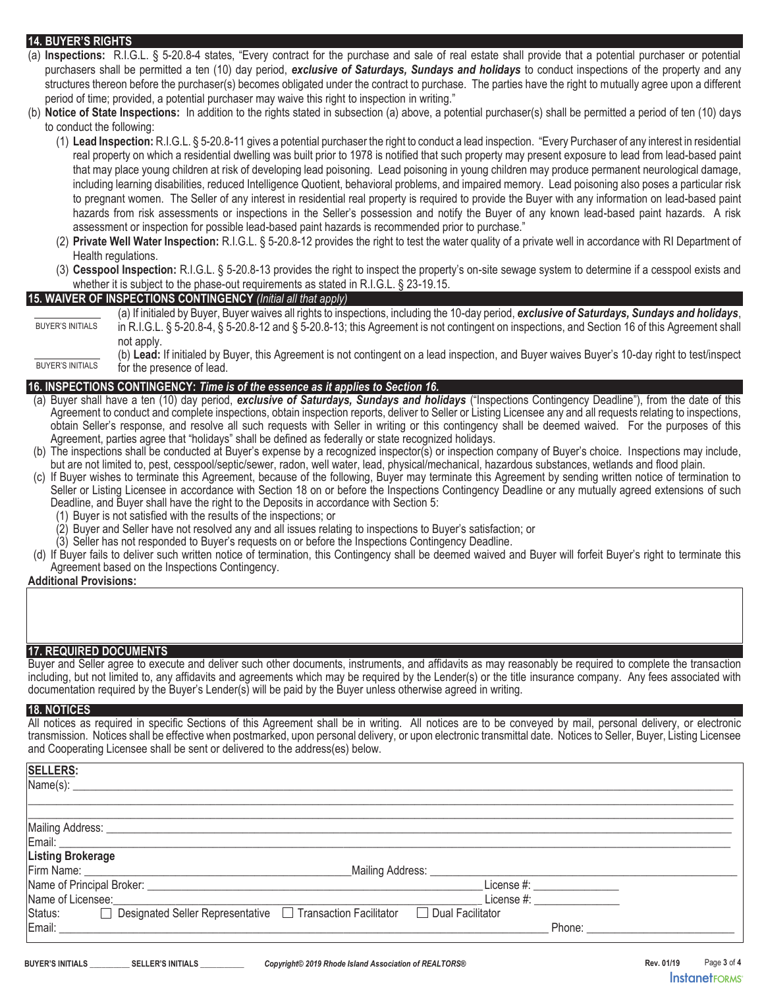## **14. BUYER'S RIGHTS**

- (a) **Inspections:** R.I.G.L. § 5-20.8-4 states, "Every contract for the purchase and sale of real estate shall provide that a potential purchaser or potential purchasers shall be permitted a ten (10) day period, *exclusive of Saturdays, Sundays and holidays* to conduct inspections of the property and any structures thereon before the purchaser(s) becomes obligated under the contract to purchase. The parties have the right to mutually agree upon a different period of time; provided, a potential purchaser may waive this right to inspection in writing."
- (b) **Notice of State Inspections:** In addition to the rights stated in subsection (a) above, a potential purchaser(s) shall be permitted a period of ten (10) days to conduct the following:
	- (1) **Lead Inspection:** R.I.G.L. § 5-20.8-11 gives a potential purchaser the right to conduct a lead inspection. "Every Purchaser of any interest in residential real property on which a residential dwelling was built prior to 1978 is notified that such property may present exposure to lead from lead-based paint that may place young children at risk of developing lead poisoning. Lead poisoning in young children may produce permanent neurological damage, including learning disabilities, reduced Intelligence Quotient, behavioral problems, and impaired memory. Lead poisoning also poses a particular risk to pregnant women. The Seller of any interest in residential real property is required to provide the Buyer with any information on lead-based paint hazards from risk assessments or inspections in the Seller's possession and notify the Buyer of any known lead-based paint hazards. A risk assessment or inspection for possible lead-based paint hazards is recommended prior to purchase."
	- (2) **Private Well Water Inspection:** R.I.G.L. § 5-20.8-12 provides the right to test the water quality of a private well in accordance with RI Department of Health regulations.
	- (3) **Cesspool Inspection:** R.I.G.L. § 5-20.8-13 provides the right to inspect the property's on-site sewage system to determine if a cesspool exists and whether it is subject to the phase-out requirements as stated in R.I.G.L. § 23-19.15.

### **15. WAIVER OF INSPECTIONS CONTINGENCY** *(Initial all that apply)*

(a) If initialed by Buyer, Buyer waives all rights to inspections, including the 10-day period, *exclusive of Saturdays, Sundays and holidays*, in R.I.G.L. § 5-20.8-4, § 5-20.8-12 and § 5-20.8-13; this Agreement is not contingent on inspections, and Section 16 of this Agreement shall not apply. BUYER'S INITIALS

### **16. INSPECTIONS CONTINGENCY:** *Time is of the essence as it applies to Section 16.*

- (a) Buyer shall have a ten (10) day period, *exclusive of Saturdays, Sundays and holidays* ("Inspections Contingency Deadline"), from the date of this Agreement to conduct and complete inspections, obtain inspection reports, deliver to Seller or Listing Licensee any and all requests relating to inspections, obtain Seller's response, and resolve all such requests with Seller in writing or this contingency shall be deemed waived. For the purposes of this Agreement, parties agree that "holidays" shall be defined as federally or state recognized holidays.
- (b) The inspections shall be conducted at Buyer's expense by a recognized inspector(s) or inspection company of Buyer's choice. Inspections may include, but are not limited to, pest, cesspool/septic/sewer, radon, well water, lead, physical/mechanical, hazardous substances, wetlands and flood plain.
- (c) If Buyer wishes to terminate this Agreement, because of the following, Buyer may terminate this Agreement by sending written notice of termination to Seller or Listing Licensee in accordance with Section 18 on or before the Inspections Contingency Deadline or any mutually agreed extensions of such Deadline, and Buyer shall have the right to the Deposits in accordance with Section 5:
	- Buyer is not satisfied with the results of the inspections; or
	- (2) Buyer and Seller have not resolved any and all issues relating to inspections to Buyer's satisfaction; or
	- (3) Seller has not responded to Buyer's requests on or before the Inspections Contingency Deadline.
- (d) If Buyer fails to deliver such written notice of termination, this Contingency shall be deemed waived and Buyer will forfeit Buyer's right to terminate this Agreement based on the Inspections Contingency.

### **Additional Provisions:**

### **17. REQUIRED DOCUMENTS**

Buyer and Seller agree to execute and deliver such other documents, instruments, and affidavits as may reasonably be required to complete the transaction including, but not limited to, any affidavits and agreements which may be required by the Lender(s) or the title insurance company. Any fees associated with documentation required by the Buyer's Lender(s) will be paid by the Buyer unless otherwise agreed in writing.

#### **18. NOTICES**

All notices as required in specific Sections of this Agreement shall be in writing. All notices are to be conveyed by mail, personal delivery, or electronic transmission. Notices shall be effective when postmarked, upon personal delivery, or upon electronic transmittal date. Notices to Seller, Buyer, Listing Licensee and Cooperating Licensee shall be sent or delivered to the address(es) below.

| <b>SELLERS:</b>                                                                                                                                                                                                                |                                                                                                                                                                                                                                |
|--------------------------------------------------------------------------------------------------------------------------------------------------------------------------------------------------------------------------------|--------------------------------------------------------------------------------------------------------------------------------------------------------------------------------------------------------------------------------|
| Name(s):                                                                                                                                                                                                                       |                                                                                                                                                                                                                                |
|                                                                                                                                                                                                                                |                                                                                                                                                                                                                                |
|                                                                                                                                                                                                                                |                                                                                                                                                                                                                                |
|                                                                                                                                                                                                                                |                                                                                                                                                                                                                                |
| Email: Email:                                                                                                                                                                                                                  |                                                                                                                                                                                                                                |
| <b>Listing Brokerage</b>                                                                                                                                                                                                       |                                                                                                                                                                                                                                |
| Firm Name: The Committee of the Committee of the Committee of the Committee of the Committee of the Committee of the Committee of the Committee of the Committee of the Committee of the Committee of the Committee of the Com |                                                                                                                                                                                                                                |
| Name of Principal Broker: Name of Principal Broker:                                                                                                                                                                            | License #: __________________                                                                                                                                                                                                  |
| Name of Licensee:                                                                                                                                                                                                              | License #:                                                                                                                                                                                                                     |
| □ Designated Seller Representative □ Transaction Facilitator<br>Dual Facilitator<br>Status:                                                                                                                                    |                                                                                                                                                                                                                                |
| Email:                                                                                                                                                                                                                         | Phone: The contract of the contract of the contract of the contract of the contract of the contract of the contract of the contract of the contract of the contract of the contract of the contract of the contract of the con |
|                                                                                                                                                                                                                                |                                                                                                                                                                                                                                |

<sup>(</sup>b) **Lead:** If initialed by Buyer, this Agreement is not contingent on a lead inspection, and Buyer waives Buyer's 10-day right to test/inspect for the presence of lead. BUYER'S INITIALS